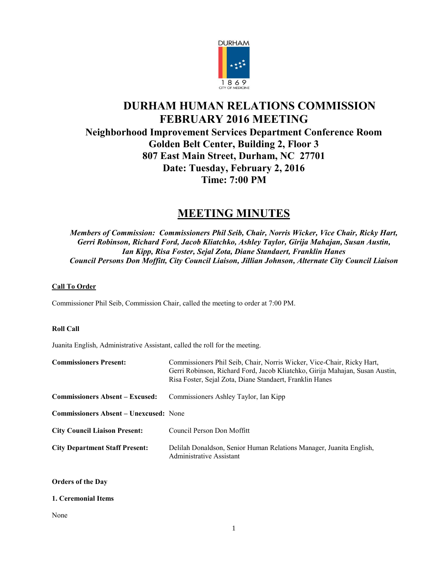

# **DURHAM HUMAN RELATIONS COMMISSION FEBRUARY 2016 MEETING Neighborhood Improvement Services Department Conference Room Golden Belt Center, Building 2, Floor 3 807 East Main Street, Durham, NC 27701 Date: Tuesday, February 2, 2016 Time: 7:00 PM**

# **MEETING MINUTES**

*Members of Commission: Commissioners Phil Seib, Chair, Norris Wicker, Vice Chair, Ricky Hart, Gerri Robinson, Richard Ford, Jacob Kliatchko, Ashley Taylor, Girija Mahajan, Susan Austin, Ian Kipp, Risa Foster, Sejal Zota, Diane Standaert, Franklin Hanes Council Persons Don Moffitt, City Council Liaison, Jillian Johnson, Alternate City Council Liaison*

# **Call To Order**

Commissioner Phil Seib, Commission Chair, called the meeting to order at 7:00 PM.

# **Roll Call**

Juanita English, Administrative Assistant, called the roll for the meeting.

| <b>Commissioners Present:</b>                 | Commissioners Phil Seib, Chair, Norris Wicker, Vice-Chair, Ricky Hart,<br>Gerri Robinson, Richard Ford, Jacob Kliatchko, Girija Mahajan, Susan Austin,<br>Risa Foster, Sejal Zota, Diane Standaert, Franklin Hanes |
|-----------------------------------------------|--------------------------------------------------------------------------------------------------------------------------------------------------------------------------------------------------------------------|
| <b>Commissioners Absent – Excused:</b>        | Commissioners Ashley Taylor, Ian Kipp                                                                                                                                                                              |
| <b>Commissioners Absent – Unexcused: None</b> |                                                                                                                                                                                                                    |
| <b>City Council Liaison Present:</b>          | Council Person Don Moffitt                                                                                                                                                                                         |
| <b>City Department Staff Present:</b>         | Delilah Donaldson, Senior Human Relations Manager, Juanita English,<br>Administrative Assistant                                                                                                                    |

# **Orders of the Day**

# **1. Ceremonial Items**

## None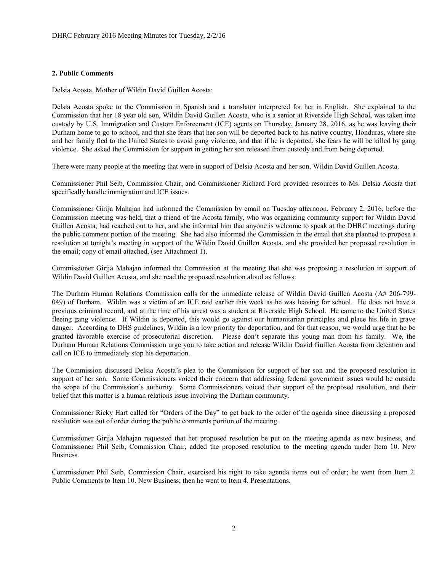# **2. Public Comments**

Delsia Acosta, Mother of Wildin David Guillen Acosta:

Delsia Acosta spoke to the Commission in Spanish and a translator interpreted for her in English. She explained to the Commission that her 18 year old son, Wildin David Guillen Acosta, who is a senior at Riverside High School, was taken into custody by U.S. Immigration and Custom Enforcement (ICE) agents on Thursday, January 28, 2016, as he was leaving their Durham home to go to school, and that she fears that her son will be deported back to his native country, Honduras, where she and her family fled to the United States to avoid gang violence, and that if he is deported, she fears he will be killed by gang violence. She asked the Commission for support in getting her son released from custody and from being deported.

There were many people at the meeting that were in support of Delsia Acosta and her son, Wildin David Guillen Acosta.

Commissioner Phil Seib, Commission Chair, and Commissioner Richard Ford provided resources to Ms. Delsia Acosta that specifically handle immigration and ICE issues.

Commissioner Girija Mahajan had informed the Commission by email on Tuesday afternoon, February 2, 2016, before the Commission meeting was held, that a friend of the Acosta family, who was organizing community support for Wildin David Guillen Acosta, had reached out to her, and she informed him that anyone is welcome to speak at the DHRC meetings during the public comment portion of the meeting. She had also informed the Commission in the email that she planned to propose a resolution at tonight's meeting in support of the Wildin David Guillen Acosta, and she provided her proposed resolution in the email; copy of email attached, (see Attachment 1).

Commissioner Girija Mahajan informed the Commission at the meeting that she was proposing a resolution in support of Wildin David Guillen Acosta, and she read the proposed resolution aloud as follows:

The Durham Human Relations Commission calls for the immediate release of Wildin David Guillen Acosta (A# 206-799- 049) of Durham. Wildin was a victim of an ICE raid earlier this week as he was leaving for school. He does not have a previous criminal record, and at the time of his arrest was a student at Riverside High School. He came to the United States fleeing gang violence. If Wildin is deported, this would go against our humanitarian principles and place his life in grave danger. According to DHS guidelines, Wildin is a low priority for deportation, and for that reason, we would urge that he be granted favorable exercise of prosecutorial discretion. Please don't separate this young man from his family. We, the Durham Human Relations Commission urge you to take action and release Wildin David Guillen Acosta from detention and call on ICE to immediately stop his deportation.

The Commission discussed Delsia Acosta's plea to the Commission for support of her son and the proposed resolution in support of her son. Some Commissioners voiced their concern that addressing federal government issues would be outside the scope of the Commission's authority. Some Commissioners voiced their support of the proposed resolution, and their belief that this matter is a human relations issue involving the Durham community.

Commissioner Ricky Hart called for "Orders of the Day" to get back to the order of the agenda since discussing a proposed resolution was out of order during the public comments portion of the meeting.

Commissioner Girija Mahajan requested that her proposed resolution be put on the meeting agenda as new business, and Commissioner Phil Seib, Commission Chair, added the proposed resolution to the meeting agenda under Item 10. New Business.

Commissioner Phil Seib, Commission Chair, exercised his right to take agenda items out of order; he went from Item 2. Public Comments to Item 10. New Business; then he went to Item 4. Presentations.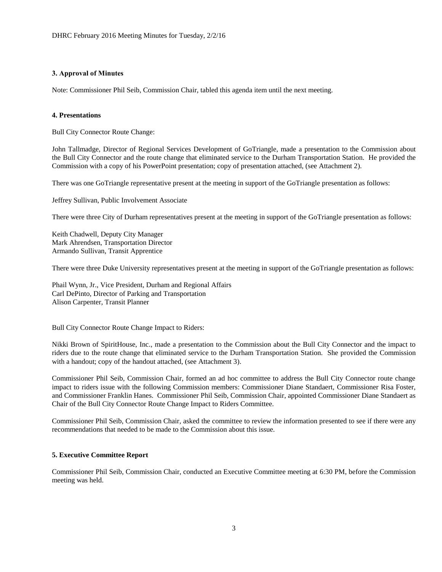# **3. Approval of Minutes**

Note: Commissioner Phil Seib, Commission Chair, tabled this agenda item until the next meeting.

# **4. Presentations**

Bull City Connector Route Change:

John Tallmadge, Director of Regional Services Development of GoTriangle, made a presentation to the Commission about the Bull City Connector and the route change that eliminated service to the Durham Transportation Station. He provided the Commission with a copy of his PowerPoint presentation; copy of presentation attached, (see Attachment 2).

There was one GoTriangle representative present at the meeting in support of the GoTriangle presentation as follows:

Jeffrey Sullivan, Public Involvement Associate

There were three City of Durham representatives present at the meeting in support of the GoTriangle presentation as follows:

Keith Chadwell, Deputy City Manager Mark Ahrendsen, Transportation Director Armando Sullivan, Transit Apprentice

There were three Duke University representatives present at the meeting in support of the GoTriangle presentation as follows:

Phail Wynn, Jr., Vice President, Durham and Regional Affairs Carl DePinto, Director of Parking and Transportation Alison Carpenter, Transit Planner

Bull City Connector Route Change Impact to Riders:

Nikki Brown of SpiritHouse, Inc., made a presentation to the Commission about the Bull City Connector and the impact to riders due to the route change that eliminated service to the Durham Transportation Station. She provided the Commission with a handout; copy of the handout attached, (see Attachment 3).

Commissioner Phil Seib, Commission Chair, formed an ad hoc committee to address the Bull City Connector route change impact to riders issue with the following Commission members: Commissioner Diane Standaert, Commissioner Risa Foster, and Commissioner Franklin Hanes. Commissioner Phil Seib, Commission Chair, appointed Commissioner Diane Standaert as Chair of the Bull City Connector Route Change Impact to Riders Committee.

Commissioner Phil Seib, Commission Chair, asked the committee to review the information presented to see if there were any recommendations that needed to be made to the Commission about this issue.

## **5. Executive Committee Report**

Commissioner Phil Seib, Commission Chair, conducted an Executive Committee meeting at 6:30 PM, before the Commission meeting was held.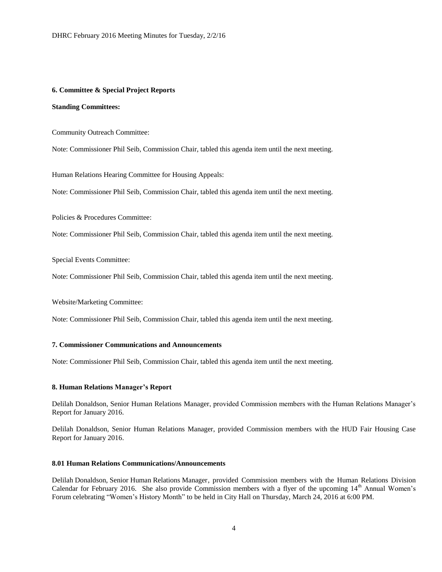#### **6. Committee & Special Project Reports**

## **Standing Committees:**

Community Outreach Committee:

Note: Commissioner Phil Seib, Commission Chair, tabled this agenda item until the next meeting.

Human Relations Hearing Committee for Housing Appeals:

Note: Commissioner Phil Seib, Commission Chair, tabled this agenda item until the next meeting.

Policies & Procedures Committee:

Note: Commissioner Phil Seib, Commission Chair, tabled this agenda item until the next meeting.

Special Events Committee:

Note: Commissioner Phil Seib, Commission Chair, tabled this agenda item until the next meeting.

Website/Marketing Committee:

Note: Commissioner Phil Seib, Commission Chair, tabled this agenda item until the next meeting.

#### **7. Commissioner Communications and Announcements**

Note: Commissioner Phil Seib, Commission Chair, tabled this agenda item until the next meeting.

#### **8. Human Relations Manager's Report**

Delilah Donaldson, Senior Human Relations Manager, provided Commission members with the Human Relations Manager's Report for January 2016.

Delilah Donaldson, Senior Human Relations Manager, provided Commission members with the HUD Fair Housing Case Report for January 2016.

#### **8.01 Human Relations Communications/Announcements**

Delilah Donaldson, Senior Human Relations Manager, provided Commission members with the Human Relations Division Calendar for February 2016. She also provide Commission members with a flyer of the upcoming 14<sup>th</sup> Annual Women's Forum celebrating "Women's History Month" to be held in City Hall on Thursday, March 24, 2016 at 6:00 PM.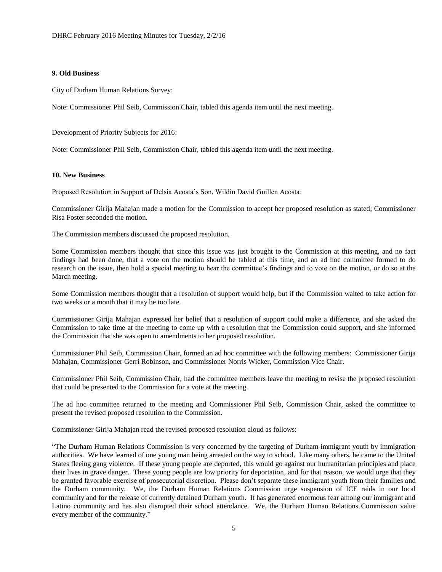#### **9. Old Business**

City of Durham Human Relations Survey:

Note: Commissioner Phil Seib, Commission Chair, tabled this agenda item until the next meeting.

Development of Priority Subjects for 2016:

Note: Commissioner Phil Seib, Commission Chair, tabled this agenda item until the next meeting.

#### **10. New Business**

Proposed Resolution in Support of Delsia Acosta's Son, Wildin David Guillen Acosta:

Commissioner Girija Mahajan made a motion for the Commission to accept her proposed resolution as stated; Commissioner Risa Foster seconded the motion.

The Commission members discussed the proposed resolution.

Some Commission members thought that since this issue was just brought to the Commission at this meeting, and no fact findings had been done, that a vote on the motion should be tabled at this time, and an ad hoc committee formed to do research on the issue, then hold a special meeting to hear the committee's findings and to vote on the motion, or do so at the March meeting.

Some Commission members thought that a resolution of support would help, but if the Commission waited to take action for two weeks or a month that it may be too late.

Commissioner Girija Mahajan expressed her belief that a resolution of support could make a difference, and she asked the Commission to take time at the meeting to come up with a resolution that the Commission could support, and she informed the Commission that she was open to amendments to her proposed resolution.

Commissioner Phil Seib, Commission Chair, formed an ad hoc committee with the following members: Commissioner Girija Mahajan, Commissioner Gerri Robinson, and Commissioner Norris Wicker, Commission Vice Chair.

Commissioner Phil Seib, Commission Chair, had the committee members leave the meeting to revise the proposed resolution that could be presented to the Commission for a vote at the meeting.

The ad hoc committee returned to the meeting and Commissioner Phil Seib, Commission Chair, asked the committee to present the revised proposed resolution to the Commission.

Commissioner Girija Mahajan read the revised proposed resolution aloud as follows:

"The Durham Human Relations Commission is very concerned by the targeting of Durham immigrant youth by immigration authorities. We have learned of one young man being arrested on the way to school. Like many others, he came to the United States fleeing gang violence. If these young people are deported, this would go against our humanitarian principles and place their lives in grave danger. These young people are low priority for deportation, and for that reason, we would urge that they be granted favorable exercise of prosecutorial discretion. Please don't separate these immigrant youth from their families and the Durham community. We, the Durham Human Relations Commission urge suspension of ICE raids in our local community and for the release of currently detained Durham youth. It has generated enormous fear among our immigrant and Latino community and has also disrupted their school attendance. We, the Durham Human Relations Commission value every member of the community."